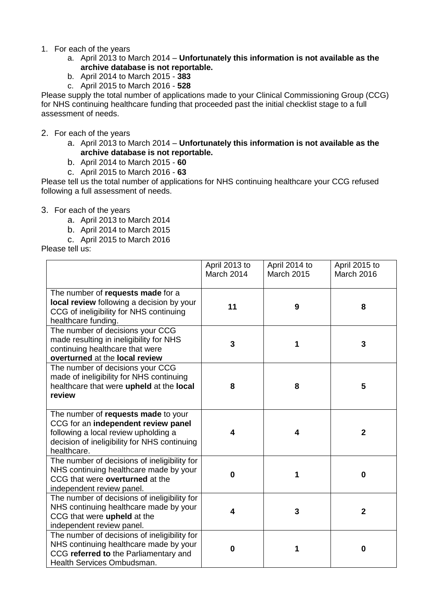- 1. For each of the years
	- a. April 2013 to March 2014 **Unfortunately this information is not available as the archive database is not reportable.**
	- b. April 2014 to March 2015 **383**
	- c. April 2015 to March 2016 **528**

Please supply the total number of applications made to your Clinical Commissioning Group (CCG) for NHS continuing healthcare funding that proceeded past the initial checklist stage to a full assessment of needs.

- 2. For each of the years
	- a. April 2013 to March 2014 **Unfortunately this information is not available as the archive database is not reportable.**
	- b. April 2014 to March 2015 **60**
	- c. April 2015 to March 2016 **63**

Please tell us the total number of applications for NHS continuing healthcare your CCG refused following a full assessment of needs.

- 3. For each of the years
	- a. April 2013 to March 2014
	- b. April 2014 to March 2015
	- c. April 2015 to March 2016

Please tell us:

|                                                                                                                                                                                   | April 2013 to<br>March 2014 | April 2014 to<br><b>March 2015</b> | April 2015 to<br>March 2016 |
|-----------------------------------------------------------------------------------------------------------------------------------------------------------------------------------|-----------------------------|------------------------------------|-----------------------------|
| The number of requests made for a<br>local review following a decision by your<br>CCG of ineligibility for NHS continuing<br>healthcare funding.                                  | 11                          | 9                                  | 8                           |
| The number of decisions your CCG<br>made resulting in ineligibility for NHS<br>continuing healthcare that were<br>overturned at the local review                                  | 3                           | 1                                  | 3                           |
| The number of decisions your CCG<br>made of ineligibility for NHS continuing<br>healthcare that were upheld at the local<br>review                                                | 8                           | 8                                  | 5                           |
| The number of requests made to your<br>CCG for an independent review panel<br>following a local review upholding a<br>decision of ineligibility for NHS continuing<br>healthcare. | 4                           | 4                                  | $\mathbf{2}$                |
| The number of decisions of ineligibility for<br>NHS continuing healthcare made by your<br>CCG that were overturned at the<br>independent review panel.                            | $\Omega$                    | 1                                  | 0                           |
| The number of decisions of ineligibility for<br>NHS continuing healthcare made by your<br>CCG that were upheld at the<br>independent review panel.                                | 4                           | 3                                  | $\overline{2}$              |
| The number of decisions of ineligibility for<br>NHS continuing healthcare made by your<br>CCG referred to the Parliamentary and<br>Health Services Ombudsman.                     | 0                           | 1                                  | $\bf{0}$                    |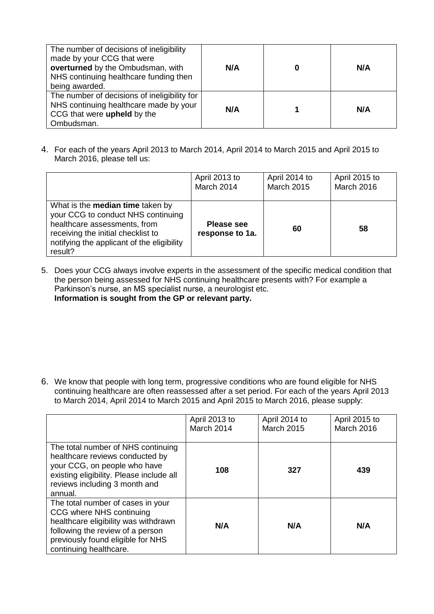| The number of decisions of ineligibility<br>made by your CCG that were<br>overturned by the Ombudsman, with<br>NHS continuing healthcare funding then<br>being awarded. | N/A | N/A |
|-------------------------------------------------------------------------------------------------------------------------------------------------------------------------|-----|-----|
| The number of decisions of ineligibility for<br>NHS continuing healthcare made by your<br>CCG that were upheld by the<br>Ombudsman.                                     | N/A | N/A |

4. For each of the years April 2013 to March 2014, April 2014 to March 2015 and April 2015 to March 2016, please tell us:

|                                                                                                                                                                                                              | April 2013 to                        | April 2014 to     | April 2015 to |
|--------------------------------------------------------------------------------------------------------------------------------------------------------------------------------------------------------------|--------------------------------------|-------------------|---------------|
|                                                                                                                                                                                                              | March 2014                           | <b>March 2015</b> | March 2016    |
| What is the <b>median time</b> taken by<br>your CCG to conduct NHS continuing<br>healthcare assessments, from<br>receiving the initial checklist to<br>notifying the applicant of the eligibility<br>result? | <b>Please see</b><br>response to 1a. | 60                | 58            |

5. Does your CCG always involve experts in the assessment of the specific medical condition that the person being assessed for NHS continuing healthcare presents with? For example a Parkinson's nurse, an MS specialist nurse, a neurologist etc. **Information is sought from the GP or relevant party.**

6. We know that people with long term, progressive conditions who are found eligible for NHS continuing healthcare are often reassessed after a set period. For each of the years April 2013 to March 2014, April 2014 to March 2015 and April 2015 to March 2016, please supply:

|                                                                                                                                                                                                          | April 2013 to<br>March 2014 | April 2014 to<br><b>March 2015</b> | April 2015 to<br><b>March 2016</b> |
|----------------------------------------------------------------------------------------------------------------------------------------------------------------------------------------------------------|-----------------------------|------------------------------------|------------------------------------|
| The total number of NHS continuing<br>healthcare reviews conducted by<br>your CCG, on people who have<br>existing eligibility. Please include all<br>reviews including 3 month and<br>annual.            | 108                         | 327                                | 439                                |
| The total number of cases in your<br>CCG where NHS continuing<br>healthcare eligibility was withdrawn<br>following the review of a person<br>previously found eligible for NHS<br>continuing healthcare. | N/A                         | N/A                                | N/A                                |